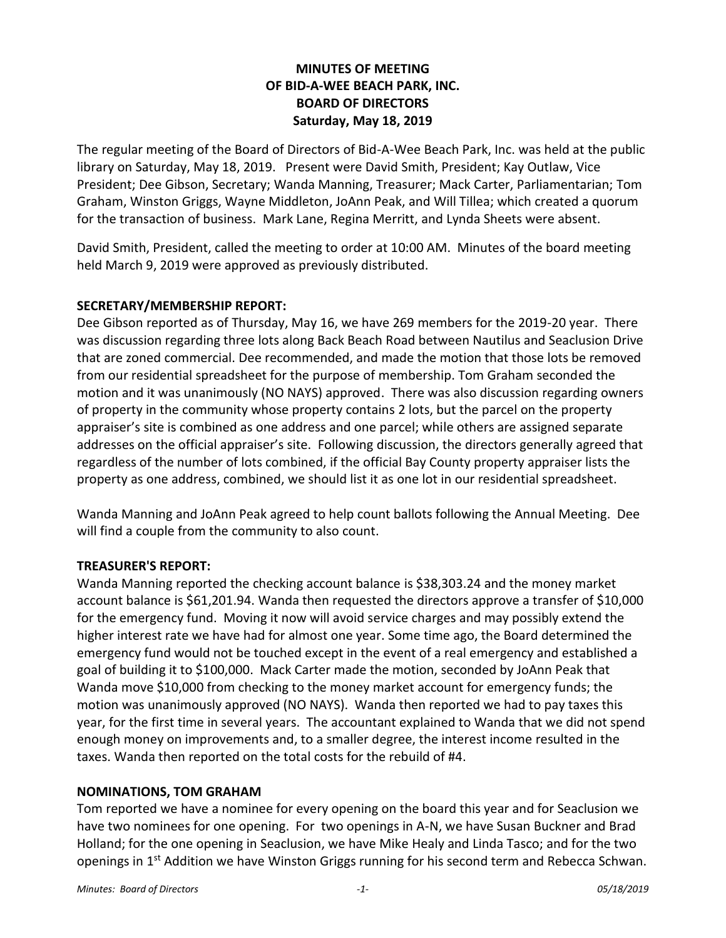# **MINUTES OF MEETING OF BID-A-WEE BEACH PARK, INC. BOARD OF DIRECTORS Saturday, May 18, 2019**

The regular meeting of the Board of Directors of Bid-A-Wee Beach Park, Inc. was held at the public library on Saturday, May 18, 2019. Present were David Smith, President; Kay Outlaw, Vice President; Dee Gibson, Secretary; Wanda Manning, Treasurer; Mack Carter, Parliamentarian; Tom Graham, Winston Griggs, Wayne Middleton, JoAnn Peak, and Will Tillea; which created a quorum for the transaction of business. Mark Lane, Regina Merritt, and Lynda Sheets were absent.

David Smith, President, called the meeting to order at 10:00 AM. Minutes of the board meeting held March 9, 2019 were approved as previously distributed.

## **SECRETARY/MEMBERSHIP REPORT:**

Dee Gibson reported as of Thursday, May 16, we have 269 members for the 2019-20 year. There was discussion regarding three lots along Back Beach Road between Nautilus and Seaclusion Drive that are zoned commercial. Dee recommended, and made the motion that those lots be removed from our residential spreadsheet for the purpose of membership. Tom Graham seconded the motion and it was unanimously (NO NAYS) approved. There was also discussion regarding owners of property in the community whose property contains 2 lots, but the parcel on the property appraiser's site is combined as one address and one parcel; while others are assigned separate addresses on the official appraiser's site. Following discussion, the directors generally agreed that regardless of the number of lots combined, if the official Bay County property appraiser lists the property as one address, combined, we should list it as one lot in our residential spreadsheet.

Wanda Manning and JoAnn Peak agreed to help count ballots following the Annual Meeting. Dee will find a couple from the community to also count.

#### **TREASURER'S REPORT:**

Wanda Manning reported the checking account balance is \$38,303.24 and the money market account balance is \$61,201.94. Wanda then requested the directors approve a transfer of \$10,000 for the emergency fund. Moving it now will avoid service charges and may possibly extend the higher interest rate we have had for almost one year. Some time ago, the Board determined the emergency fund would not be touched except in the event of a real emergency and established a goal of building it to \$100,000. Mack Carter made the motion, seconded by JoAnn Peak that Wanda move \$10,000 from checking to the money market account for emergency funds; the motion was unanimously approved (NO NAYS). Wanda then reported we had to pay taxes this year, for the first time in several years. The accountant explained to Wanda that we did not spend enough money on improvements and, to a smaller degree, the interest income resulted in the taxes. Wanda then reported on the total costs for the rebuild of #4.

#### **NOMINATIONS, TOM GRAHAM**

Tom reported we have a nominee for every opening on the board this year and for Seaclusion we have two nominees for one opening. For two openings in A-N, we have Susan Buckner and Brad Holland; for the one opening in Seaclusion, we have Mike Healy and Linda Tasco; and for the two openings in 1<sup>st</sup> Addition we have Winston Griggs running for his second term and Rebecca Schwan.